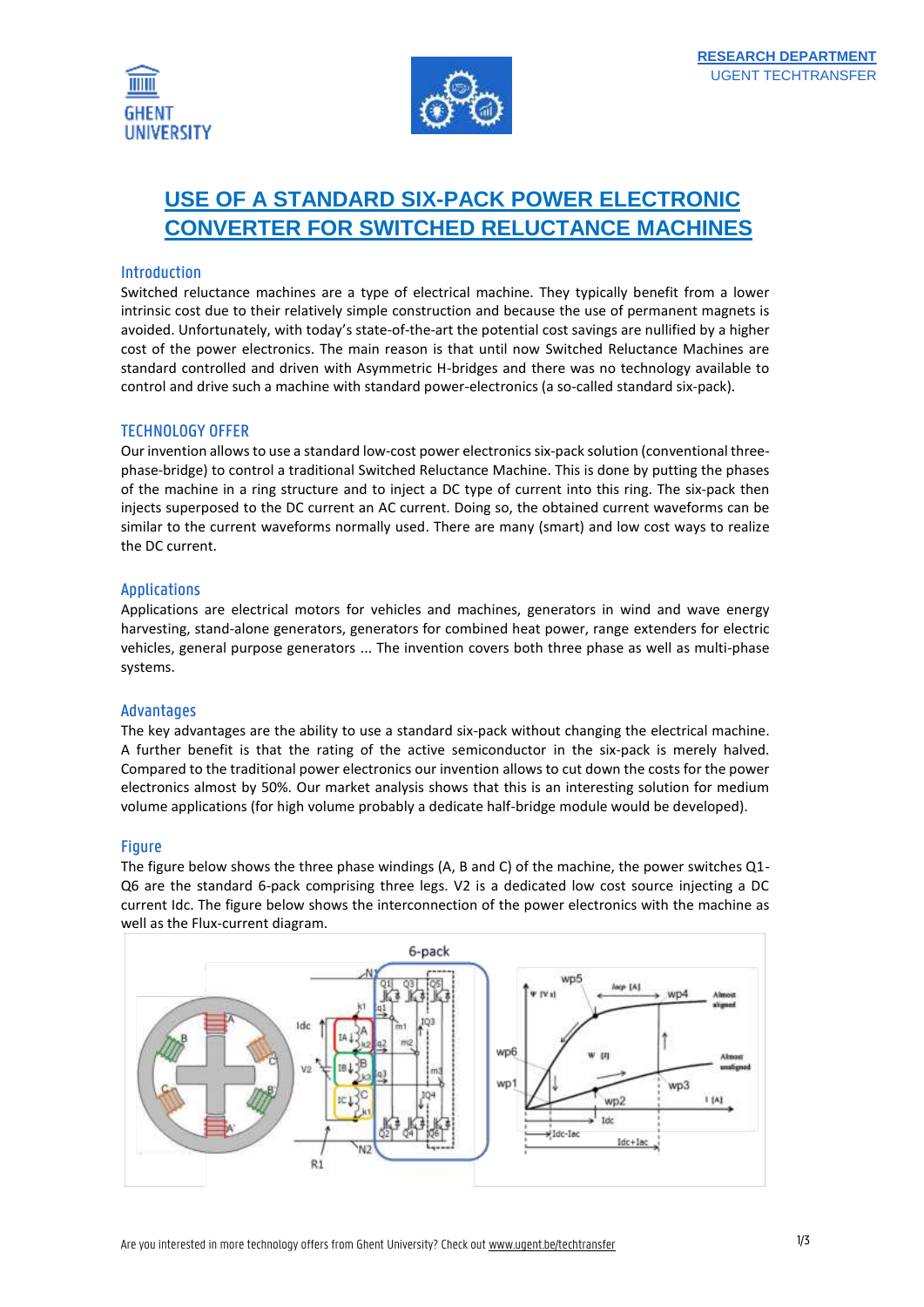



# **USE OF A STANDARD SIX-PACK POWER ELECTRONIC CONVERTER FOR SWITCHED RELUCTANCE MACHINES**

## Introduction

Switched reluctance machines are a type of electrical machine. They typically benefit from a lower intrinsic cost due to their relatively simple construction and because the use of permanent magnets is avoided. Unfortunately, with today's state-of-the-art the potential cost savings are nullified by a higher cost of the power electronics. The main reason is that until now Switched Reluctance Machines are standard controlled and driven with Asymmetric H-bridges and there was no technology available to control and drive such a machine with standard power-electronics (a so-called standard six-pack).

## TECHNOLOGY OFFER

Our invention allowsto use a standard low-cost power electronics six-pack solution (conventional threephase-bridge) to control a traditional Switched Reluctance Machine. This is done by putting the phases of the machine in a ring structure and to inject a DC type of current into this ring. The six-pack then injects superposed to the DC current an AC current. Doing so, the obtained current waveforms can be similar to the current waveforms normally used. There are many (smart) and low cost ways to realize the DC current.

## Applications

Applications are electrical motors for vehicles and machines, generators in wind and wave energy harvesting, stand-alone generators, generators for combined heat power, range extenders for electric vehicles, general purpose generators ... The invention covers both three phase as well as multi-phase systems.

#### Advantages

The key advantages are the ability to use a standard six-pack without changing the electrical machine. A further benefit is that the rating of the active semiconductor in the six-pack is merely halved. Compared to the traditional power electronics our invention allows to cut down the costs for the power electronics almost by 50%. Our market analysis shows that this is an interesting solution for medium volume applications (for high volume probably a dedicate half-bridge module would be developed).

#### Figure

The figure below shows the three phase windings (A, B and C) of the machine, the power switches Q1- Q6 are the standard 6-pack comprising three legs. V2 is a dedicated low cost source injecting a DC current Idc. The figure below shows the interconnection of the power electronics with the machine as well as the Flux-current diagram.

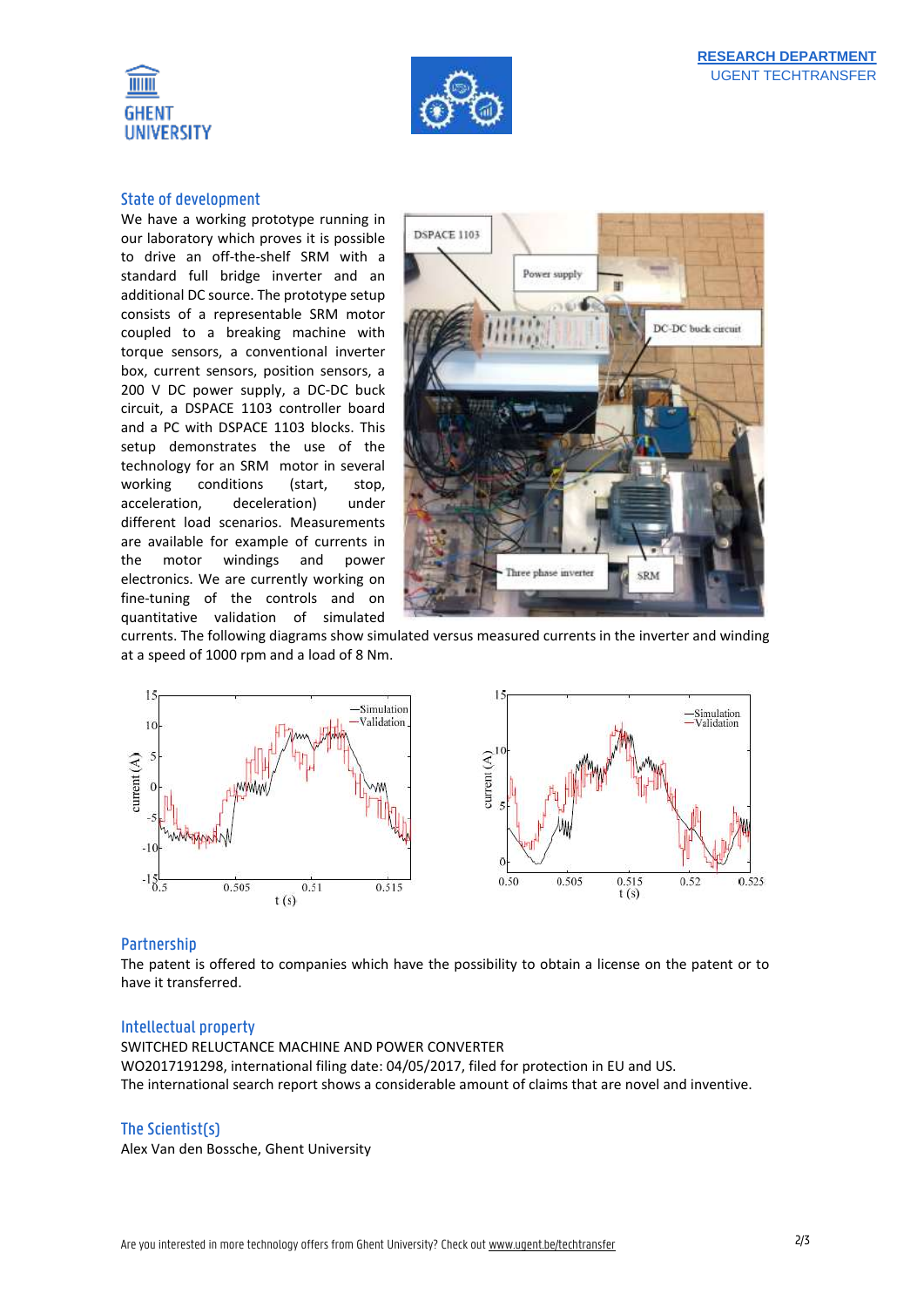



#### State of development

We have a working prototype running in our laboratory which proves it is possible to drive an off-the-shelf SRM with a standard full bridge inverter and an additional DC source. The prototype setup consists of a representable SRM motor coupled to a breaking machine with torque sensors, a conventional inverter box, current sensors, position sensors, a 200 V DC power supply, a DC-DC buck circuit, a DSPACE 1103 controller board and a PC with DSPACE 1103 blocks. This setup demonstrates the use of the technology for an SRM motor in several working conditions (start, stop, acceleration, deceleration) under different load scenarios. Measurements are available for example of currents in the motor windings and power electronics. We are currently working on fine-tuning of the controls and on quantitative validation of simulated



currents. The following diagrams show simulated versus measured currents in the inverter and winding at a speed of 1000 rpm and a load of 8 Nm.



#### Partnership

The patent is offered to companies which have the possibility to obtain a license on the patent or to have it transferred.

#### Intellectual property

SWITCHED RELUCTANCE MACHINE AND POWER CONVERTER WO2017191298, international filing date: 04/05/2017, filed for protection in EU and US. The international search report shows a considerable amount of claims that are novel and inventive.

#### The Scientist(s)

Alex Van den Bossche, Ghent University

Simulation

Validation

0.52

0.525